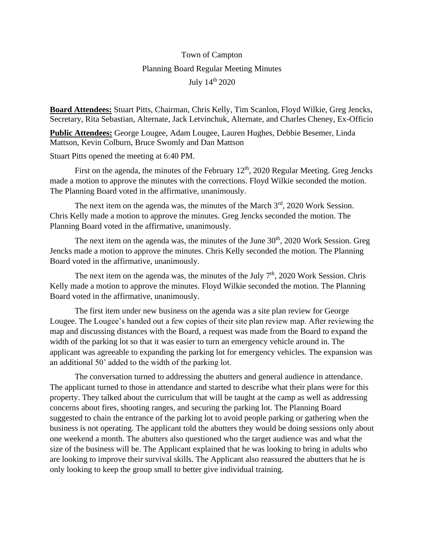## Town of Campton Planning Board Regular Meeting Minutes July 14th 2020

**Board Attendees:** Stuart Pitts, Chairman, Chris Kelly, Tim Scanlon, Floyd Wilkie, Greg Jencks, Secretary, Rita Sebastian, Alternate, Jack Letvinchuk, Alternate, and Charles Cheney, Ex-Officio

**Public Attendees:** George Lougee, Adam Lougee, Lauren Hughes, Debbie Besemer, Linda Mattson, Kevin Colburn, Bruce Swomly and Dan Mattson

Stuart Pitts opened the meeting at 6:40 PM.

First on the agenda, the minutes of the February 12<sup>th</sup>, 2020 Regular Meeting. Greg Jencks made a motion to approve the minutes with the corrections. Floyd Wilkie seconded the motion. The Planning Board voted in the affirmative, unanimously.

The next item on the agenda was, the minutes of the March  $3<sup>rd</sup>$ , 2020 Work Session. Chris Kelly made a motion to approve the minutes. Greg Jencks seconded the motion. The Planning Board voted in the affirmative, unanimously.

The next item on the agenda was, the minutes of the June  $30<sup>th</sup>$ ,  $2020$  Work Session. Greg Jencks made a motion to approve the minutes. Chris Kelly seconded the motion. The Planning Board voted in the affirmative, unanimously.

The next item on the agenda was, the minutes of the July  $7<sup>th</sup>$ , 2020 Work Session. Chris Kelly made a motion to approve the minutes. Floyd Wilkie seconded the motion. The Planning Board voted in the affirmative, unanimously.

The first item under new business on the agenda was a site plan review for George Lougee. The Lougee's handed out a few copies of their site plan review map. After reviewing the map and discussing distances with the Board, a request was made from the Board to expand the width of the parking lot so that it was easier to turn an emergency vehicle around in. The applicant was agreeable to expanding the parking lot for emergency vehicles. The expansion was an additional 50' added to the width of the parking lot.

The conversation turned to addressing the abutters and general audience in attendance. The applicant turned to those in attendance and started to describe what their plans were for this property. They talked about the curriculum that will be taught at the camp as well as addressing concerns about fires, shooting ranges, and securing the parking lot. The Planning Board suggested to chain the entrance of the parking lot to avoid people parking or gathering when the business is not operating. The applicant told the abutters they would be doing sessions only about one weekend a month. The abutters also questioned who the target audience was and what the size of the business will be. The Applicant explained that he was looking to bring in adults who are looking to improve their survival skills. The Applicant also reassured the abutters that he is only looking to keep the group small to better give individual training.